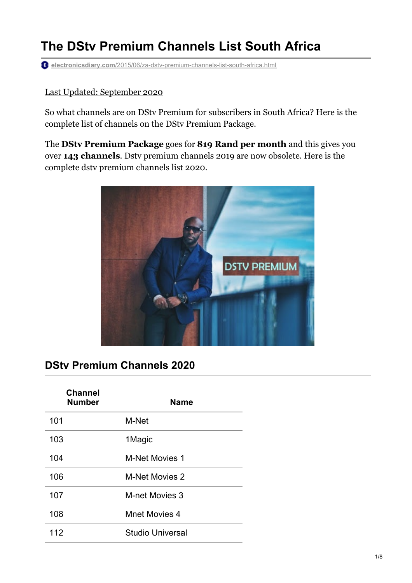# **The DStv Premium Channels List South Africa**

**electronicsdiary.com**[/2015/06/za-dstv-premium-channels-list-south-africa.html](https://www.electronicsdiary.com/2015/06/za-dstv-premium-channels-list-south-africa.html)

#### Last Updated: September 2020

So what channels are on DStv Premium for subscribers in South Africa? Here is the complete list of channels on the DStv Premium Package.

The **DStv Premium Package** goes for **819 Rand per month** and this gives you over **143 channels**. Dstv premium channels 2019 are now obsolete. Here is the complete dstv premium channels list 2020.



### **DStv Premium Channels 2020**

| <b>Channel</b><br><b>Number</b> | <b>Name</b>             |
|---------------------------------|-------------------------|
| 101                             | M-Net                   |
| 103                             | 1Magic                  |
| 104                             | <b>M-Net Movies 1</b>   |
| 106                             | <b>M-Net Movies 2</b>   |
| 107                             | <b>M-net Movies 3</b>   |
| 108                             | <b>Mnet Movies 4</b>    |
| 112                             | <b>Studio Universal</b> |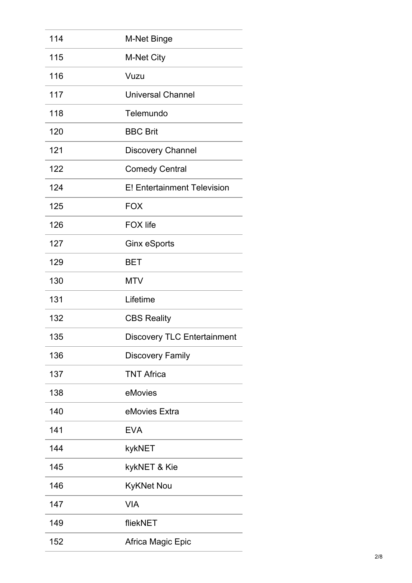| 114 | <b>M-Net Binge</b>                 |
|-----|------------------------------------|
| 115 | <b>M-Net City</b>                  |
| 116 | Vuzu                               |
| 117 | <b>Universal Channel</b>           |
| 118 | Telemundo                          |
| 120 | <b>BBC Brit</b>                    |
| 121 | <b>Discovery Channel</b>           |
| 122 | <b>Comedy Central</b>              |
| 124 | <b>E! Entertainment Television</b> |
| 125 | <b>FOX</b>                         |
| 126 | <b>FOX life</b>                    |
| 127 | Ginx eSports                       |
| 129 | <b>BET</b>                         |
| 130 | <b>MTV</b>                         |
| 131 | Lifetime                           |
| 132 | <b>CBS Reality</b>                 |
| 135 | <b>Discovery TLC Entertainment</b> |
| 136 | <b>Discovery Family</b>            |
| 137 | <b>TNT Africa</b>                  |
| 138 | eMovies                            |
| 140 | eMovies Extra                      |
| 141 | <b>EVA</b>                         |
| 144 | kykNET                             |
| 145 | kykNET & Kie                       |
| 146 | <b>KyKNet Nou</b>                  |
| 147 | <b>VIA</b>                         |
| 149 | fliekNET                           |
| 152 | Africa Magic Epic                  |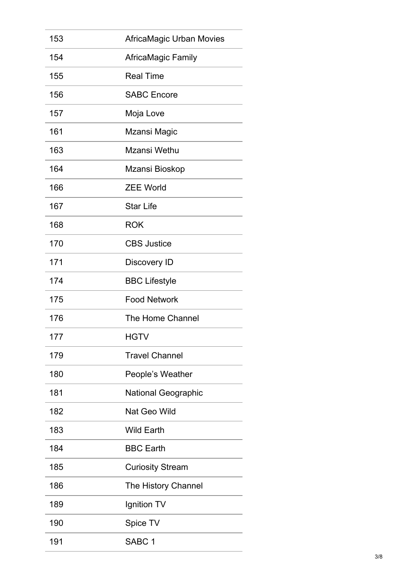| 153 | <b>AfricaMagic Urban Movies</b> |
|-----|---------------------------------|
| 154 | <b>AfricaMagic Family</b>       |
| 155 | <b>Real Time</b>                |
| 156 | <b>SABC Encore</b>              |
| 157 | Moja Love                       |
| 161 | Mzansi Magic                    |
| 163 | Mzansi Wethu                    |
| 164 | Mzansi Bioskop                  |
| 166 | <b>ZEE World</b>                |
| 167 | <b>Star Life</b>                |
| 168 | <b>ROK</b>                      |
| 170 | <b>CBS Justice</b>              |
| 171 | Discovery ID                    |
| 174 | <b>BBC Lifestyle</b>            |
| 175 | <b>Food Network</b>             |
| 176 | The Home Channel                |
| 177 | HGTV                            |
| 179 | <b>Travel Channel</b>           |
| 180 | People's Weather                |
| 181 | <b>National Geographic</b>      |
| 182 | Nat Geo Wild                    |
| 183 | <b>Wild Earth</b>               |
| 184 | <b>BBC Earth</b>                |
| 185 | <b>Curiosity Stream</b>         |
| 186 | The History Channel             |
| 189 | Ignition TV                     |
| 190 | Spice TV                        |
| 191 | SABC <sub>1</sub>               |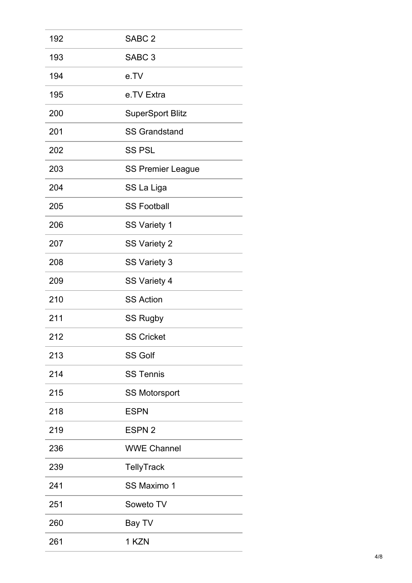| 192 | SABC <sub>2</sub>        |
|-----|--------------------------|
| 193 | SABC <sub>3</sub>        |
| 194 | e.TV                     |
| 195 | e.TV Extra               |
| 200 | <b>SuperSport Blitz</b>  |
| 201 | <b>SS Grandstand</b>     |
| 202 | <b>SS PSL</b>            |
| 203 | <b>SS Premier League</b> |
| 204 | SS La Liga               |
| 205 | <b>SS Football</b>       |
| 206 | <b>SS Variety 1</b>      |
| 207 | <b>SS Variety 2</b>      |
| 208 | <b>SS Variety 3</b>      |
| 209 | SS Variety 4             |
| 210 | <b>SS Action</b>         |
| 211 | <b>SS Rugby</b>          |
| 212 | <b>SS Cricket</b>        |
| 213 | <b>SS Golf</b>           |
| 214 | <b>SS Tennis</b>         |
| 215 | <b>SS Motorsport</b>     |
| 218 | <b>ESPN</b>              |
| 219 | ESPN <sub>2</sub>        |
| 236 | <b>WWE Channel</b>       |
| 239 | <b>TellyTrack</b>        |
| 241 | <b>SS Maximo 1</b>       |
| 251 | Soweto TV                |
| 260 | Bay TV                   |
| 261 | 1 KZN                    |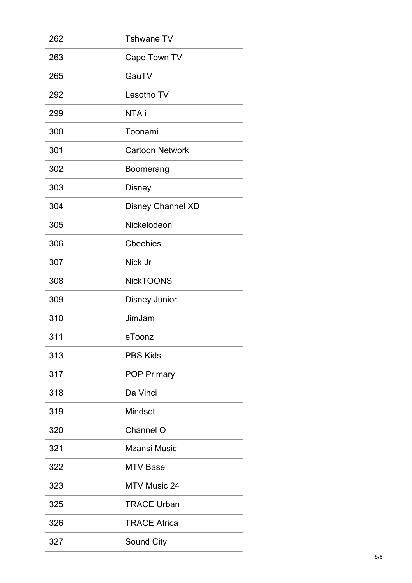| 262 | <b>Tshwane TV</b>        |
|-----|--------------------------|
| 263 | Cape Town TV             |
| 265 | GauTV                    |
| 292 | Lesotho TV               |
| 299 | NTA i                    |
| 300 | Toonami                  |
| 301 | <b>Cartoon Network</b>   |
| 302 | Boomerang                |
| 303 | <b>Disney</b>            |
| 304 | <b>Disney Channel XD</b> |
| 305 | Nickelodeon              |
| 306 | <b>Cheebies</b>          |
| 307 | Nick Jr                  |
| 308 | <b>NickTOONS</b>         |
| 309 | <b>Disney Junior</b>     |
| 310 | JimJam                   |
| 311 | eToonz                   |
| 313 | <b>PBS Kids</b>          |
| 317 | <b>POP Primary</b>       |
| 318 | Da Vinci                 |
| 319 | <b>Mindset</b>           |
| 320 | Channel O                |
| 321 | <b>Mzansi Music</b>      |
| 322 | <b>MTV Base</b>          |
| 323 | <b>MTV Music 24</b>      |
| 325 | <b>TRACE Urban</b>       |
| 326 | <b>TRACE Africa</b>      |
| 327 | Sound City               |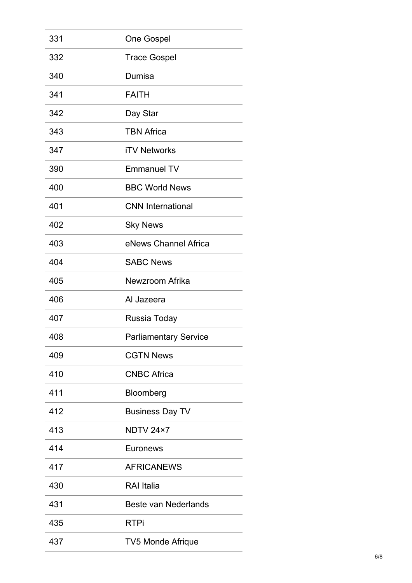| 331 | <b>One Gospel</b>            |
|-----|------------------------------|
| 332 | <b>Trace Gospel</b>          |
| 340 | Dumisa                       |
| 341 | <b>FAITH</b>                 |
| 342 | Day Star                     |
| 343 | <b>TBN Africa</b>            |
| 347 | <b>iTV Networks</b>          |
| 390 | <b>Emmanuel TV</b>           |
| 400 | <b>BBC World News</b>        |
| 401 | <b>CNN</b> International     |
| 402 | <b>Sky News</b>              |
| 403 | eNews Channel Africa         |
| 404 | <b>SABC News</b>             |
| 405 | Newzroom Afrika              |
| 406 | Al Jazeera                   |
| 407 | Russia Today                 |
| 408 | <b>Parliamentary Service</b> |
| 409 | <b>CGTN News</b>             |
| 410 | <b>CNBC Africa</b>           |
| 411 | Bloomberg                    |
| 412 | <b>Business Day TV</b>       |
| 413 | NDTV 24×7                    |
| 414 | Euronews                     |
| 417 | <b>AFRICANEWS</b>            |
| 430 | <b>RAI</b> Italia            |
| 431 | <b>Beste van Nederlands</b>  |
| 435 | <b>RTPi</b>                  |
| 437 | <b>TV5 Monde Afrique</b>     |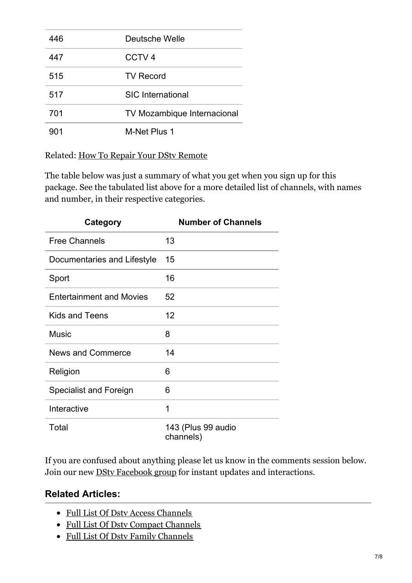| 446 | Deutsche Welle                     |
|-----|------------------------------------|
| 447 | CCTV <sub>4</sub>                  |
| 515 | <b>TV Record</b>                   |
| 517 | <b>SIC</b> International           |
| 701 | <b>TV Mozambique Internacional</b> |
| 901 | M-Net Plus 1                       |

Related: How To Repair Your DStv [Remote](https://www.electronicsdiary.com/2017/12/fix-dstv-remote-is-not-working.html)

The table below was just a summary of what you get when you sign up for this package. See the tabulated list above for a more detailed list of channels, with names and number, in their respective categories.

| <b>Category</b>                 | <b>Number of Channels</b>       |
|---------------------------------|---------------------------------|
| <b>Free Channels</b>            | 13                              |
| Documentaries and Lifestyle     | 15                              |
| Sport                           | 16                              |
| <b>Entertainment and Movies</b> | 52                              |
| <b>Kids and Teens</b>           | 12                              |
| <b>Music</b>                    | 8                               |
| <b>News and Commerce</b>        | 14                              |
| Religion                        | 6                               |
| <b>Specialist and Foreign</b>   | 6                               |
| Interactive                     | 1                               |
| Total                           | 143 (Plus 99 audio<br>channels) |

If you are confused about anything please let us know in the comments session below. Join our new DStv [Facebook](https://web.facebook.com/groups/ed.dstv.group/) group for instant updates and interactions.

#### **Related Articles:**

- Full List Of Dstv Access [Channels](https://www.electronicsdiary.com/2019/01/za-dstv-access-channels-list-south-africa.html)
- Full List Of Dsty Compact [Channels](https://www.electronicsdiary.com/2015/06/za-dstv-compact-channels-list-south-africa.html)
- Full List Of Dstv Family [Channels](https://www.electronicsdiary.com/2015/06/za-dstv-family-channels-list-south-africa.html)